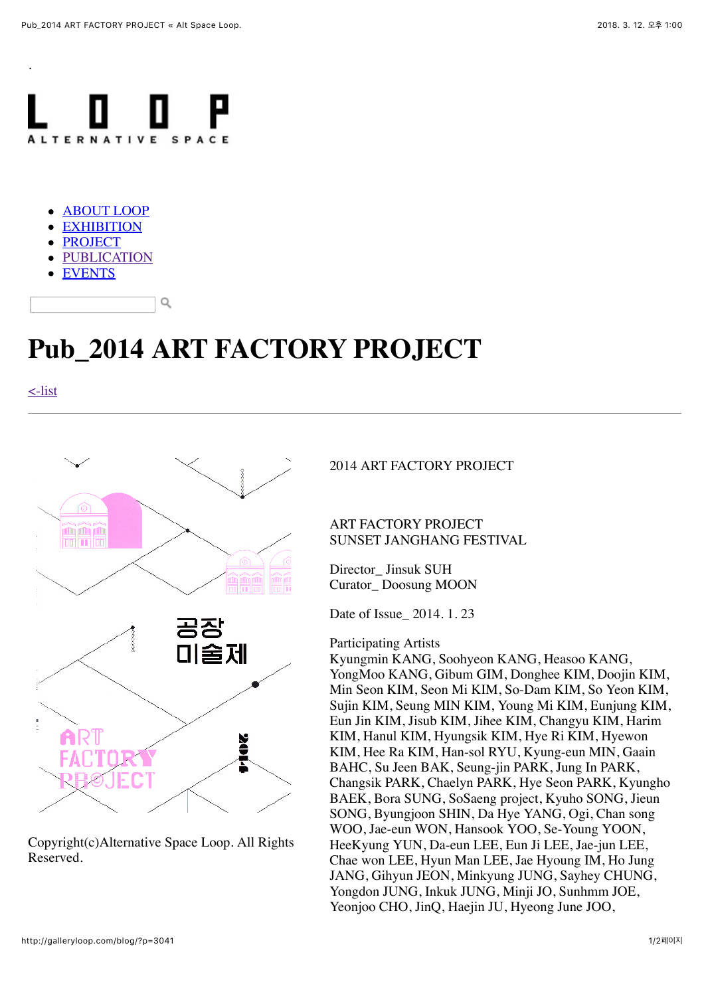

- [ABOUT LOOP](http://galleryloop.com/blog/?page_id=12)
- **[EXHIBITION](http://galleryloop.com/blog/?page_id=409)**
- [PROJECT](http://galleryloop.com/blog/?page_id=331)
- [PUBLICATION](http://galleryloop.com/blog/?page_id=707)
- [EVENTS](http://galleryloop.com/blog/?page_id=724)

## **Pub\_2014 ART FACTORY PROJECT**

[<-list](http://galleryloop.com/blog/?page_id=707)

.



Q

Copyright(c)Alternative Space Loop. All Rights Reserved.

2014 ART FACTORY PROJECT

ART FACTORY PROJECT SUNSET JANGHANG FESTIVAL

Director\_ Jinsuk SUH Curator\_ Doosung MOON

Date of Issue\_ 2014. 1. 23

## Participating Artists

Kyungmin KANG, Soohyeon KANG, Heasoo KANG, YongMoo KANG, Gibum GIM, Donghee KIM, Doojin KIM, Min Seon KIM, Seon Mi KIM, So-Dam KIM, So Yeon KIM, Sujin KIM, Seung MIN KIM, Young Mi KIM, Eunjung KIM, Eun Jin KIM, Jisub KIM, Jihee KIM, Changyu KIM, Harim KIM, Hanul KIM, Hyungsik KIM, Hye Ri KIM, Hyewon KIM, Hee Ra KIM, Han-sol RYU, Kyung-eun MIN, Gaain BAHC, Su Jeen BAK, Seung-jin PARK, Jung In PARK, Changsik PARK, Chaelyn PARK, Hye Seon PARK, Kyungho BAEK, Bora SUNG, SoSaeng project, Kyuho SONG, Jieun SONG, Byungjoon SHIN, Da Hye YANG, Ogi, Chan song WOO, Jae-eun WON, Hansook YOO, Se-Young YOON, HeeKyung YUN, Da-eun LEE, Eun Ji LEE, Jae-jun LEE, Chae won LEE, Hyun Man LEE, Jae Hyoung IM, Ho Jung JANG, Gihyun JEON, Minkyung JUNG, Sayhey CHUNG, Yongdon JUNG, Inkuk JUNG, Minji JO, Sunhmm JOE, Yeonjoo CHO, JinQ, Haejin JU, Hyeong June JOO,